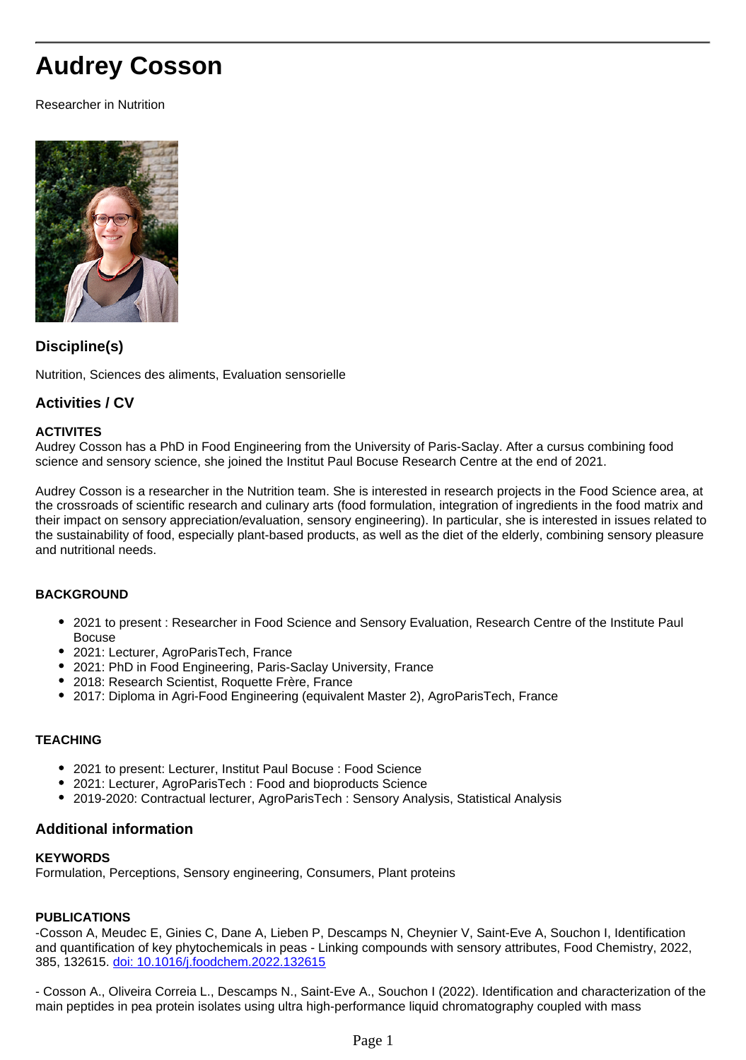# **Audrey Cosson**

Researcher in Nutrition



#### **Discipline(s)**

Nutrition, Sciences des aliments, Evaluation sensorielle

#### **Activities / CV**

#### **ACTIVITES**

Audrey Cosson has a PhD in Food Engineering from the University of Paris-Saclay. After a cursus combining food science and sensory science, she joined the Institut Paul Bocuse Research Centre at the end of 2021.

Audrey Cosson is a researcher in the Nutrition team. She is interested in research projects in the Food Science area, at the crossroads of scientific research and culinary arts (food formulation, integration of ingredients in the food matrix and their impact on sensory appreciation/evaluation, sensory engineering). In particular, she is interested in issues related to the sustainability of food, especially plant-based products, as well as the diet of the elderly, combining sensory pleasure and nutritional needs.

#### **BACKGROUND**

- 2021 to present : Researcher in Food Science and Sensory Evaluation, Research Centre of the Institute Paul Bocuse
- 2021: Lecturer, AgroParisTech, France
- 2021: PhD in Food Engineering, Paris-Saclay University, France
- 2018: Research Scientist, Roquette Frère, France
- 2017: Diploma in Agri-Food Engineering (equivalent Master 2), AgroParisTech, France

#### **TEACHING**

- 2021 to present: Lecturer, Institut Paul Bocuse : Food Science
- 2021: Lecturer, AgroParisTech : Food and bioproducts Science
- 2019-2020: Contractual lecturer, AgroParisTech : Sensory Analysis, Statistical Analysis

#### **Additional information**

#### **KEYWORDS**

Formulation, Perceptions, Sensory engineering, Consumers, Plant proteins

#### **PUBLICATIONS**

-Cosson A, Meudec E, Ginies C, Dane A, Lieben P, Descamps N, Cheynier V, Saint-Eve A, Souchon I, Identification and quantification of key phytochemicals in peas - Linking compounds with sensory attributes, Food Chemistry, 2022, 385, 132615. [doi: 10.1016/j.foodchem.2022.132615](http://doi:%2010.1016/j.foodchem.2022.132615)

- Cosson A., Oliveira Correia L., Descamps N., Saint-Eve A., Souchon I (2022). Identification and characterization of the main peptides in pea protein isolates using ultra high-performance liquid chromatography coupled with mass